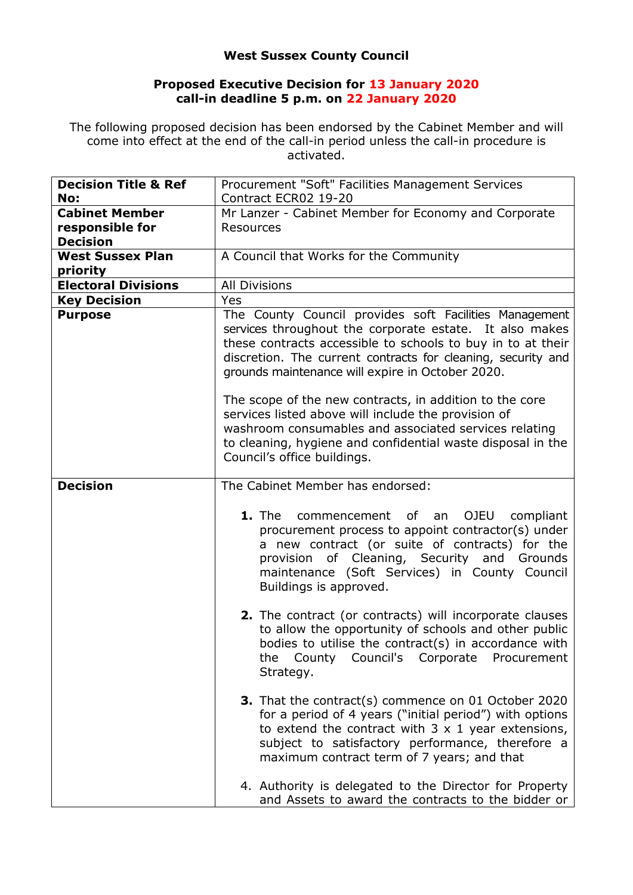## **West Sussex County Council**

## **Proposed Executive Decision for 13 January 2020 call-in deadline 5 p.m. on 22 January 2020**

The following proposed decision has been endorsed by the Cabinet Member and will come into effect at the end of the call-in period unless the call-in procedure is activated.

| <b>Decision Title &amp; Ref</b> | Procurement "Soft" Facilities Management Services                                                                                                                                                                                                                                                    |
|---------------------------------|------------------------------------------------------------------------------------------------------------------------------------------------------------------------------------------------------------------------------------------------------------------------------------------------------|
| No:                             | Contract ECR02 19-20                                                                                                                                                                                                                                                                                 |
| <b>Cabinet Member</b>           | Mr Lanzer - Cabinet Member for Economy and Corporate                                                                                                                                                                                                                                                 |
| responsible for                 | <b>Resources</b>                                                                                                                                                                                                                                                                                     |
| <b>Decision</b>                 |                                                                                                                                                                                                                                                                                                      |
| <b>West Sussex Plan</b>         | A Council that Works for the Community                                                                                                                                                                                                                                                               |
| priority                        |                                                                                                                                                                                                                                                                                                      |
| <b>Electoral Divisions</b>      | <b>All Divisions</b>                                                                                                                                                                                                                                                                                 |
| <b>Key Decision</b>             | Yes                                                                                                                                                                                                                                                                                                  |
| <b>Purpose</b>                  | The County Council provides soft Facilities Management<br>services throughout the corporate estate. It also makes<br>these contracts accessible to schools to buy in to at their<br>discretion. The current contracts for cleaning, security and<br>grounds maintenance will expire in October 2020. |
|                                 | The scope of the new contracts, in addition to the core<br>services listed above will include the provision of<br>washroom consumables and associated services relating<br>to cleaning, hygiene and confidential waste disposal in the<br>Council's office buildings.                                |
| <b>Decision</b>                 | The Cabinet Member has endorsed:                                                                                                                                                                                                                                                                     |
|                                 | 1. The<br>of an<br>OJEU<br>commencement<br>compliant<br>procurement process to appoint contractor(s) under<br>a new contract (or suite of contracts) for the<br>provision of Cleaning, Security and Grounds<br>maintenance (Soft Services) in County Council<br>Buildings is approved.               |
|                                 | 2. The contract (or contracts) will incorporate clauses<br>to allow the opportunity of schools and other public<br>bodies to utilise the contract(s) in accordance with<br>Council's Corporate Procurement<br>County<br>the<br>Strategy.                                                             |
|                                 | <b>3.</b> That the contract(s) commence on 01 October 2020<br>for a period of 4 years ("initial period") with options<br>to extend the contract with $3 \times 1$ year extensions,<br>subject to satisfactory performance, therefore a<br>maximum contract term of 7 years; and that                 |
|                                 | 4. Authority is delegated to the Director for Property<br>and Assets to award the contracts to the bidder or                                                                                                                                                                                         |